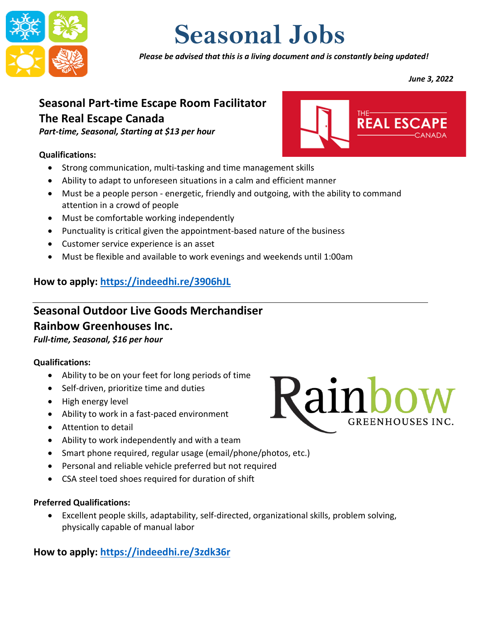

# **Seasonal Jobs**

*Please be advised that this is a living document and is constantly being updated!*

*June 3, 2022*

THE-**NATE** 

# **Seasonal Part-time Escape Room Facilitator The Real Escape Canada**

*Part-time, Seasonal, Starting at \$13 per hour*

#### **Qualifications:**

- Strong communication, multi-tasking and time management skills
- Ability to adapt to unforeseen situations in a calm and efficient manner
- Must be a people person energetic, friendly and outgoing, with the ability to command attention in a crowd of people
- Must be comfortable working independently
- Punctuality is critical given the appointment-based nature of the business
- Customer service experience is an asset
- Must be flexible and available to work evenings and weekends until 1:00am

### **How to apply: <https://indeedhi.re/3906hJL>**

# **Seasonal Outdoor Live Goods Merchandiser**

# **Rainbow Greenhouses Inc.**

*Full-time, Seasonal, \$16 per hour*

#### **Qualifications:**

- Ability to be on your feet for long periods of time
- Self-driven, prioritize time and duties
- High energy level
- Ability to work in a fast-paced environment
- Attention to detail
- Ability to work independently and with a team
- Smart phone required, regular usage (email/phone/photos, etc.)
- Personal and reliable vehicle preferred but not required
- CSA steel toed shoes required for duration of shift

#### **Preferred Qualifications:**

• Excellent people skills, adaptability, self-directed, organizational skills, problem solving, physically capable of manual labor

**How to apply: <https://indeedhi.re/3zdk36r>**

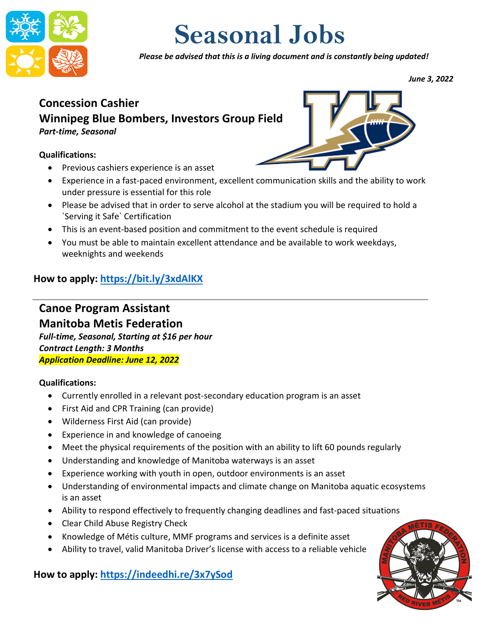

# **Seasonal Jobs**

*Please be advised that this is a living document and is constantly being updated!*

*June 3, 2022*

# **Concession Cashier Winnipeg Blue Bombers, Investors Group Field** *Part-time, Seasonal*

#### **Qualifications:**

- Previous cashiers experience is an asset
- Experience in a fast-paced environment, excellent communication skills and the ability to work under pressure is essential for this role
- Please be advised that in order to serve alcohol at the stadium you will be required to hold a `Serving it Safe` Certification
- This is an event-based position and commitment to the event schedule is required
- You must be able to maintain excellent attendance and be available to work weekdays, weeknights and weekends

# **How to apply: <https://bit.ly/3xdAlKX>**

#### **Canoe Program Assistant Manitoba Metis Federation** *Full-time, Seasonal, Starting at \$16 per hour Contract Length: 3 Months Application Deadline: June 12, 2022*

#### **Qualifications:**

- Currently enrolled in a relevant post-secondary education program is an asset
- First Aid and CPR Training (can provide)
- Wilderness First Aid (can provide)
- Experience in and knowledge of canoeing
- Meet the physical requirements of the position with an ability to lift 60 pounds regularly
- Understanding and knowledge of Manitoba waterways is an asset
- Experience working with youth in open, outdoor environments is an asset
- Understanding of environmental impacts and climate change on Manitoba aquatic ecosystems is an asset
- Ability to respond effectively to frequently changing deadlines and fast-paced situations
- Clear Child Abuse Registry Check
- Knowledge of Métis culture, MMF programs and services is a definite asset
- Ability to travel, valid Manitoba Driver's license with access to a reliable vehicle

**How to apply: <https://indeedhi.re/3x7ySod>**